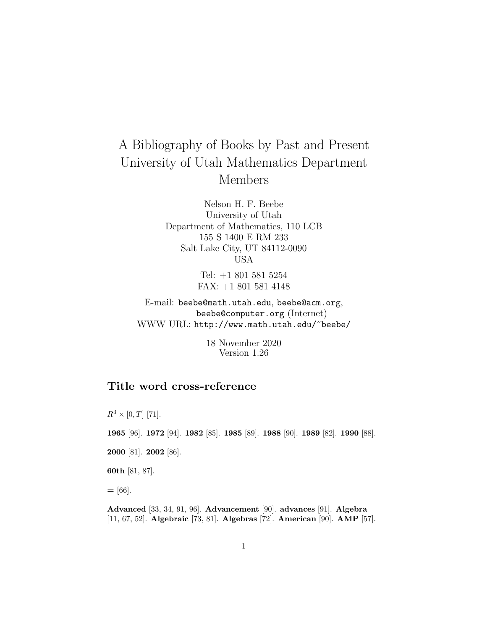# A Bibliography of Books by Past and Present University of Utah Mathematics Department Members

Nelson H. F. Beebe University of Utah Department of Mathematics, 110 LCB 155 S 1400 E RM 233 Salt Lake City, UT 84112-0090 USA

> Tel: +1 801 581 5254 FAX: +1 801 581 4148

E-mail: beebe@math.utah.edu, beebe@acm.org, beebe@computer.org (Internet) WWW URL: http://www.math.utah.edu/~beebe/

> 18 November 2020 Version 1.26

# **Title word cross-reference**

 $R^3 \times [0, T]$  [71]. **1965** [96]. **1972** [94]. **1982** [85]. **1985** [89]. **1988** [90]. **1989** [82]. **1990** [88]. **2000** [81]. **2002** [86]. **60th** [81, 87]. **=** [66].

**Advanced** [33, 34, 91, 96]. **Advancement** [90]. **advances** [91]. **Algebra** [11, 67, 52]. **Algebraic** [73, 81]. **Algebras** [72]. **American** [90]. **AMP** [57].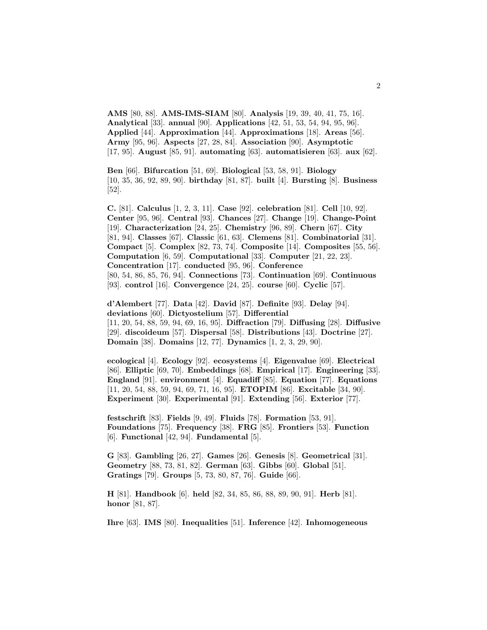**AMS** [80, 88]. **AMS-IMS-SIAM** [80]. **Analysis** [19, 39, 40, 41, 75, 16]. **Analytical** [33]. **annual** [90]. **Applications** [42, 51, 53, 54, 94, 95, 96]. **Applied** [44]. **Approximation** [44]. **Approximations** [18]. **Areas** [56]. **Army** [95, 96]. **Aspects** [27, 28, 84]. **Association** [90]. **Asymptotic** [17, 95]. **August** [85, 91]. **automating** [63]. **automatisieren** [63]. **aux** [62].

**Ben** [66]. **Bifurcation** [51, 69]. **Biological** [53, 58, 91]. **Biology** [10, 35, 36, 92, 89, 90]. **birthday** [81, 87]. **built** [4]. **Bursting** [8]. **Business** [52].

**C.** [81]. **Calculus** [1, 2, 3, 11]. **Case** [92]. **celebration** [81]. **Cell** [10, 92]. **Center** [95, 96]. **Central** [93]. **Chances** [27]. **Change** [19]. **Change-Point** [19]. **Characterization** [24, 25]. **Chemistry** [96, 89]. **Chern** [67]. **City** [81, 94]. **Classes** [67]. **Classic** [61, 63]. **Clemens** [81]. **Combinatorial** [31]. **Compact** [5]. **Complex** [82, 73, 74]. **Composite** [14]. **Composites** [55, 56]. **Computation** [6, 59]. **Computational** [33]. **Computer** [21, 22, 23]. **Concentration** [17]. **conducted** [95, 96]. **Conference** [80, 54, 86, 85, 76, 94]. **Connections** [73]. **Continuation** [69]. **Continuous** [93]. **control** [16]. **Convergence** [24, 25]. **course** [60]. **Cyclic** [57].

**d'Alembert** [77]. **Data** [42]. **David** [87]. **Definite** [93]. **Delay** [94]. **deviations** [60]. **Dictyostelium** [57]. **Differential** [11, 20, 54, 88, 59, 94, 69, 16, 95]. **Diffraction** [79]. **Diffusing** [28]. **Diffusive** [29]. **discoideum** [57]. **Dispersal** [58]. **Distributions** [43]. **Doctrine** [27]. **Domain** [38]. **Domains** [12, 77]. **Dynamics** [1, 2, 3, 29, 90].

**ecological** [4]. **Ecology** [92]. **ecosystems** [4]. **Eigenvalue** [69]. **Electrical** [86]. **Elliptic** [69, 70]. **Embeddings** [68]. **Empirical** [17]. **Engineering** [33]. **England** [91]. **environment** [4]. **Equadiff** [85]. **Equation** [77]. **Equations** [11, 20, 54, 88, 59, 94, 69, 71, 16, 95]. **ETOPIM** [86]. **Excitable** [34, 90]. **Experiment** [30]. **Experimental** [91]. **Extending** [56]. **Exterior** [77].

**festschrift** [83]. **Fields** [9, 49]. **Fluids** [78]. **Formation** [53, 91]. **Foundations** [75]. **Frequency** [38]. **FRG** [85]. **Frontiers** [53]. **Function** [6]. **Functional** [42, 94]. **Fundamental** [5].

**G** [83]. **Gambling** [26, 27]. **Games** [26]. **Genesis** [8]. **Geometrical** [31]. **Geometry** [88, 73, 81, 82]. **German** [63]. **Gibbs** [60]. **Global** [51]. **Gratings** [79]. **Groups** [5, 73, 80, 87, 76]. **Guide** [66].

**H** [81]. **Handbook** [6]. **held** [82, 34, 85, 86, 88, 89, 90, 91]. **Herb** [81]. **honor** [81, 87].

**Ihre** [63]. **IMS** [80]. **Inequalities** [51]. **Inference** [42]. **Inhomogeneous**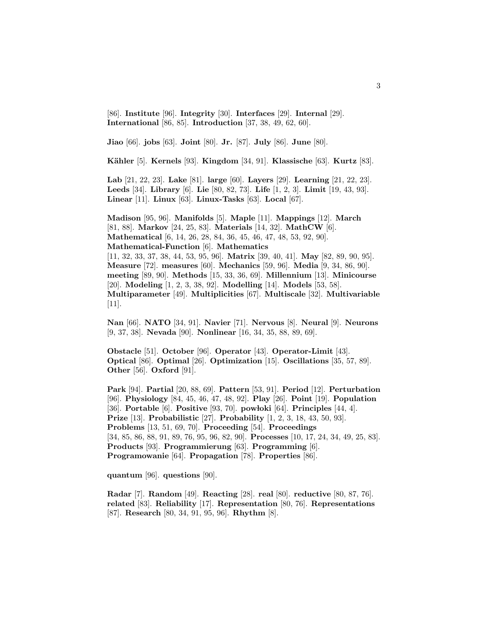[86]. **Institute** [96]. **Integrity** [30]. **Interfaces** [29]. **Internal** [29]. **International** [86, 85]. **Introduction** [37, 38, 49, 62, 60].

**Jiao** [66]. **jobs** [63]. **Joint** [80]. **Jr.** [87]. **July** [86]. **June** [80].

**K¨ahler** [5]. **Kernels** [93]. **Kingdom** [34, 91]. **Klassische** [63]. **Kurtz** [83].

**Lab** [21, 22, 23]. **Lake** [81]. **large** [60]. **Layers** [29]. **Learning** [21, 22, 23]. **Leeds** [34]. **Library** [6]. **Lie** [80, 82, 73]. **Life** [1, 2, 3]. **Limit** [19, 43, 93]. **Linear** [11]. **Linux** [63]. **Linux-Tasks** [63]. **Local** [67].

**Madison** [95, 96]. **Manifolds** [5]. **Maple** [11]. **Mappings** [12]. **March** [81, 88]. **Markov** [24, 25, 83]. **Materials** [14, 32]. **MathCW** [6]. **Mathematical** [6, 14, 26, 28, 84, 36, 45, 46, 47, 48, 53, 92, 90]. **Mathematical-Function** [6]. **Mathematics** [11, 32, 33, 37, 38, 44, 53, 95, 96]. **Matrix** [39, 40, 41]. **May** [82, 89, 90, 95]. **Measure** [72]. **measures** [60]. **Mechanics** [59, 96]. **Media** [9, 34, 86, 90]. **meeting** [89, 90]. **Methods** [15, 33, 36, 69]. **Millennium** [13]. **Minicourse** [20]. **Modeling** [1, 2, 3, 38, 92]. **Modelling** [14]. **Models** [53, 58]. **Multiparameter** [49]. **Multiplicities** [67]. **Multiscale** [32]. **Multivariable** [11].

**Nan** [66]. **NATO** [34, 91]. **Navier** [71]. **Nervous** [8]. **Neural** [9]. **Neurons** [9, 37, 38]. **Nevada** [90]. **Nonlinear** [16, 34, 35, 88, 89, 69].

**Obstacle** [51]. **October** [96]. **Operator** [43]. **Operator-Limit** [43]. **Optical** [86]. **Optimal** [26]. **Optimization** [15]. **Oscillations** [35, 57, 89]. **Other** [56]. **Oxford** [91].

**Park** [94]. **Partial** [20, 88, 69]. **Pattern** [53, 91]. **Period** [12]. **Perturbation** [96]. **Physiology** [84, 45, 46, 47, 48, 92]. **Play** [26]. **Point** [19]. **Population** [36]. **Portable** [6]. **Positive** [93, 70]. **pow loki** [64]. **Principles** [44, 4]. **Prize** [13]. **Probabilistic** [27]. **Probability** [1, 2, 3, 18, 43, 50, 93]. **Problems** [13, 51, 69, 70]. **Proceeding** [54]. **Proceedings** [34, 85, 86, 88, 91, 89, 76, 95, 96, 82, 90]. **Processes** [10, 17, 24, 34, 49, 25, 83]. **Products** [93]. **Programmierung** [63]. **Programming** [6]. **Programowanie** [64]. **Propagation** [78]. **Properties** [86].

**quantum** [96]. **questions** [90].

**Radar** [7]. **Random** [49]. **Reacting** [28]. **real** [80]. **reductive** [80, 87, 76]. **related** [83]. **Reliability** [17]. **Representation** [80, 76]. **Representations** [87]. **Research** [80, 34, 91, 95, 96]. **Rhythm** [8].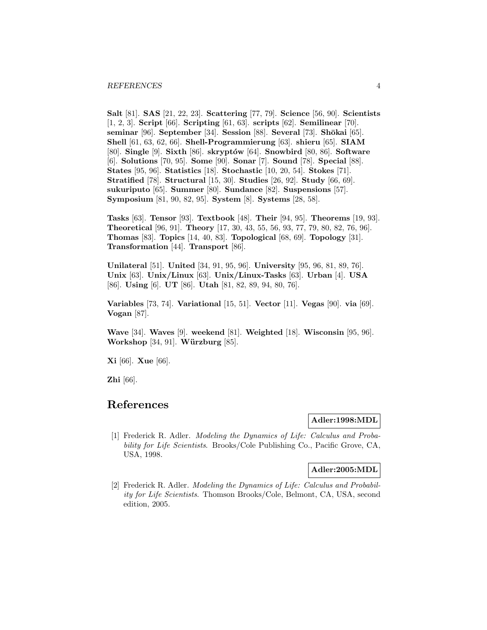**Salt** [81]. **SAS** [21, 22, 23]. **Scattering** [77, 79]. **Science** [56, 90]. **Scientists** [1, 2, 3]. **Script** [66]. **Scripting** [61, 63]. **scripts** [62]. **Semilinear** [70]. **seminar** [96]. **September** [34]. **Session** [88]. **Several** [73]. **Sh¯okai** [65]. **Shell** [61, 63, 62, 66]. **Shell-Programmierung** [63]. **shieru** [65]. **SIAM** [80]. **Single** [9]. **Sixth** [86]. **skrypt´ow** [64]. **Snowbird** [80, 86]. **Software** [6]. **Solutions** [70, 95]. **Some** [90]. **Sonar** [7]. **Sound** [78]. **Special** [88]. **States** [95, 96]. **Statistics** [18]. **Stochastic** [10, 20, 54]. **Stokes** [71]. **Stratified** [78]. **Structural** [15, 30]. **Studies** [26, 92]. **Study** [66, 69]. **sukuriputo** [65]. **Summer** [80]. **Sundance** [82]. **Suspensions** [57]. **Symposium** [81, 90, 82, 95]. **System** [8]. **Systems** [28, 58].

**Tasks** [63]. **Tensor** [93]. **Textbook** [48]. **Their** [94, 95]. **Theorems** [19, 93]. **Theoretical** [96, 91]. **Theory** [17, 30, 43, 55, 56, 93, 77, 79, 80, 82, 76, 96]. **Thomas** [83]. **Topics** [14, 40, 83]. **Topological** [68, 69]. **Topology** [31]. **Transformation** [44]. **Transport** [86].

**Unilateral** [51]. **United** [34, 91, 95, 96]. **University** [95, 96, 81, 89, 76]. **Unix** [63]. **Unix/Linux** [63]. **Unix/Linux-Tasks** [63]. **Urban** [4]. **USA** [86]. **Using** [6]. **UT** [86]. **Utah** [81, 82, 89, 94, 80, 76].

**Variables** [73, 74]. **Variational** [15, 51]. **Vector** [11]. **Vegas** [90]. **via** [69]. **Vogan** [87].

**Wave** [34]. **Waves** [9]. **weekend** [81]. **Weighted** [18]. **Wisconsin** [95, 96]. **Workshop** [34, 91]. **Würzburg** [85].

**Xi** [66]. **Xue** [66].

**Zhi** [66].

# **References**

# **Adler:1998:MDL**

[1] Frederick R. Adler. Modeling the Dynamics of Life: Calculus and Probability for Life Scientists. Brooks/Cole Publishing Co., Pacific Grove, CA, USA, 1998.

#### **Adler:2005:MDL**

[2] Frederick R. Adler. Modeling the Dynamics of Life: Calculus and Probability for Life Scientists. Thomson Brooks/Cole, Belmont, CA, USA, second edition, 2005.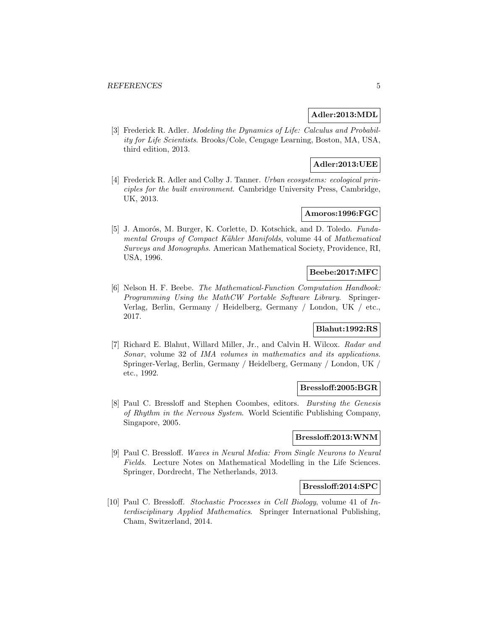# **Adler:2013:MDL**

[3] Frederick R. Adler. Modeling the Dynamics of Life: Calculus and Probability for Life Scientists. Brooks/Cole, Cengage Learning, Boston, MA, USA, third edition, 2013.

# **Adler:2013:UEE**

[4] Frederick R. Adler and Colby J. Tanner. Urban ecosystems: ecological principles for the built environment. Cambridge University Press, Cambridge, UK, 2013.

# **Amoros:1996:FGC**

[5] J. Amorós, M. Burger, K. Corlette, D. Kotschick, and D. Toledo. Fundamental Groups of Compact Kähler Manifolds, volume 44 of Mathematical Surveys and Monographs. American Mathematical Society, Providence, RI, USA, 1996.

#### **Beebe:2017:MFC**

[6] Nelson H. F. Beebe. The Mathematical-Function Computation Handbook: Programming Using the MathCW Portable Software Library. Springer-Verlag, Berlin, Germany / Heidelberg, Germany / London, UK / etc., 2017.

# **Blahut:1992:RS**

[7] Richard E. Blahut, Willard Miller, Jr., and Calvin H. Wilcox. Radar and Sonar, volume 32 of IMA volumes in mathematics and its applications. Springer-Verlag, Berlin, Germany / Heidelberg, Germany / London, UK / etc., 1992.

#### **Bressloff:2005:BGR**

[8] Paul C. Bressloff and Stephen Coombes, editors. Bursting the Genesis of Rhythm in the Nervous System. World Scientific Publishing Company, Singapore, 2005.

# **Bressloff:2013:WNM**

[9] Paul C. Bressloff. Waves in Neural Media: From Single Neurons to Neural Fields. Lecture Notes on Mathematical Modelling in the Life Sciences. Springer, Dordrecht, The Netherlands, 2013.

#### **Bressloff:2014:SPC**

[10] Paul C. Bressloff. Stochastic Processes in Cell Biology, volume 41 of Interdisciplinary Applied Mathematics. Springer International Publishing, Cham, Switzerland, 2014.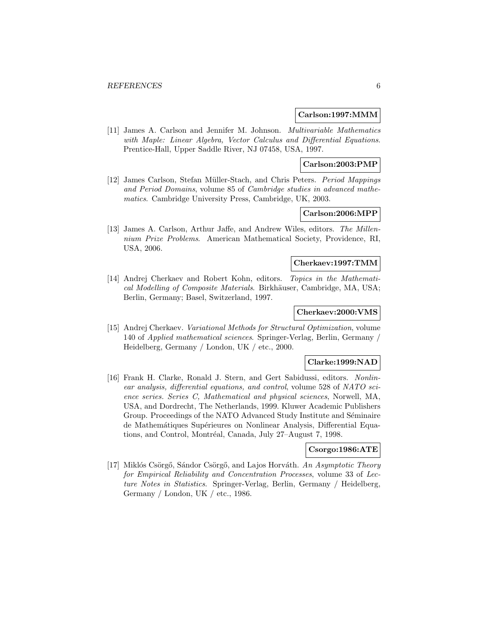#### **Carlson:1997:MMM**

[11] James A. Carlson and Jennifer M. Johnson. Multivariable Mathematics with Maple: Linear Algebra, Vector Calculus and Differential Equations. Prentice-Hall, Upper Saddle River, NJ 07458, USA, 1997.

#### **Carlson:2003:PMP**

[12] James Carlson, Stefan M¨uller-Stach, and Chris Peters. Period Mappings and Period Domains, volume 85 of Cambridge studies in advanced mathematics. Cambridge University Press, Cambridge, UK, 2003.

# **Carlson:2006:MPP**

[13] James A. Carlson, Arthur Jaffe, and Andrew Wiles, editors. The Millennium Prize Problems. American Mathematical Society, Providence, RI, USA, 2006.

# **Cherkaev:1997:TMM**

[14] Andrej Cherkaev and Robert Kohn, editors. Topics in the Mathematical Modelling of Composite Materials. Birkhäuser, Cambridge, MA, USA; Berlin, Germany; Basel, Switzerland, 1997.

#### **Cherkaev:2000:VMS**

[15] Andrej Cherkaev. Variational Methods for Structural Optimization, volume 140 of Applied mathematical sciences. Springer-Verlag, Berlin, Germany / Heidelberg, Germany / London, UK / etc., 2000.

#### **Clarke:1999:NAD**

[16] Frank H. Clarke, Ronald J. Stern, and Gert Sabidussi, editors. Nonlinear analysis, differential equations, and control, volume 528 of NATO science series. Series C, Mathematical and physical sciences, Norwell, MA, USA, and Dordrecht, The Netherlands, 1999. Kluwer Academic Publishers Group. Proceedings of the NATO Advanced Study Institute and Séminaire de Mathemátiques Supérieures on Nonlinear Analysis, Differential Equations, and Control, Montréal, Canada, July 27–August 7, 1998.

#### **Csorgo:1986:ATE**

[17] Miklós Csörgő, Sándor Csörgő, and Lajos Horváth. An Asymptotic Theory for Empirical Reliability and Concentration Processes, volume 33 of Lecture Notes in Statistics. Springer-Verlag, Berlin, Germany / Heidelberg, Germany / London, UK / etc., 1986.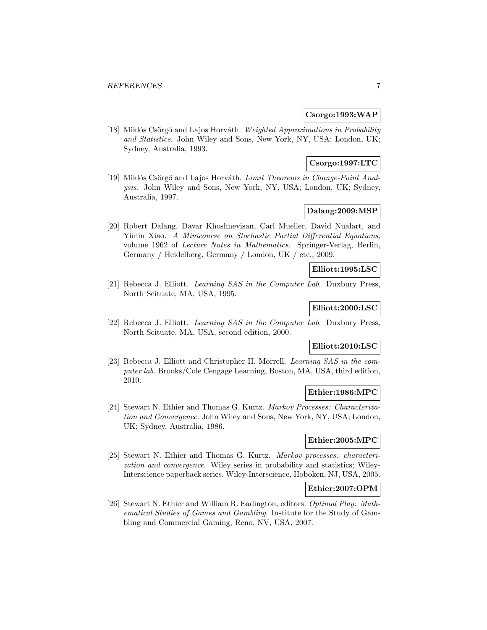#### **Csorgo:1993:WAP**

[18] Miklós Csörgő and Lajos Horváth. Weighted Approximations in Probability and Statistics. John Wiley and Sons, New York, NY, USA; London, UK; Sydney, Australia, 1993.

# **Csorgo:1997:LTC**

[19] Miklós Csörgő and Lajos Horváth. Limit Theorems in Change-Point Analysis. John Wiley and Sons, New York, NY, USA; London, UK; Sydney, Australia, 1997.

# **Dalang:2009:MSP**

[20] Robert Dalang, Davar Khoshnevisan, Carl Mueller, David Nualart, and Yimin Xiao. A Minicourse on Stochastic Partial Differential Equations, volume 1962 of Lecture Notes in Mathematics. Springer-Verlag, Berlin, Germany / Heidelberg, Germany / London, UK / etc., 2009.

# **Elliott:1995:LSC**

[21] Rebecca J. Elliott. Learning SAS in the Computer Lab. Duxbury Press, North Scituate, MA, USA, 1995.

# **Elliott:2000:LSC**

[22] Rebecca J. Elliott. Learning SAS in the Computer Lab. Duxbury Press, North Scituate, MA, USA, second edition, 2000.

# **Elliott:2010:LSC**

[23] Rebecca J. Elliott and Christopher H. Morrell. Learning SAS in the computer lab. Brooks/Cole Cengage Learning, Boston, MA, USA, third edition, 2010.

#### **Ethier:1986:MPC**

[24] Stewart N. Ethier and Thomas G. Kurtz. Markov Processes: Characterization and Convergence. John Wiley and Sons, New York, NY, USA; London, UK; Sydney, Australia, 1986.

# **Ethier:2005:MPC**

[25] Stewart N. Ethier and Thomas G. Kurtz. Markov processes: characterization and convergence. Wiley series in probability and statistics; Wiley-Interscience paperback series. Wiley-Interscience, Hoboken, NJ, USA, 2005.

# **Ethier:2007:OPM**

[26] Stewart N. Ethier and William R. Eadington, editors. Optimal Play: Mathematical Studies of Games and Gambling. Institute for the Study of Gambling and Commercial Gaming, Reno, NV, USA, 2007.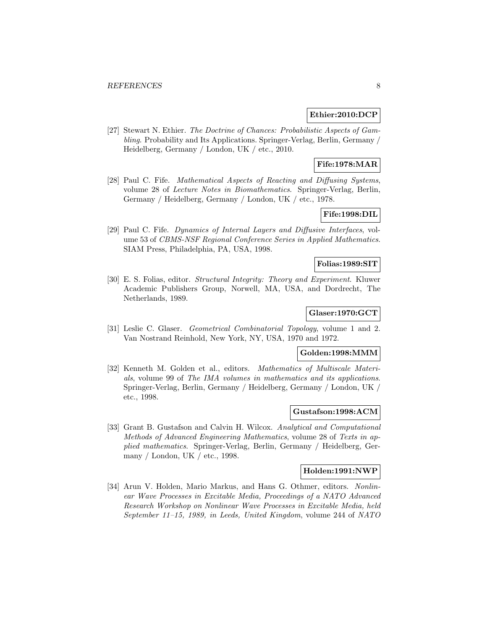#### **Ethier:2010:DCP**

[27] Stewart N. Ethier. The Doctrine of Chances: Probabilistic Aspects of Gambling. Probability and Its Applications. Springer-Verlag, Berlin, Germany / Heidelberg, Germany / London, UK / etc., 2010.

# **Fife:1978:MAR**

[28] Paul C. Fife. Mathematical Aspects of Reacting and Diffusing Systems, volume 28 of Lecture Notes in Biomathematics. Springer-Verlag, Berlin, Germany / Heidelberg, Germany / London, UK / etc., 1978.

# **Fife:1998:DIL**

[29] Paul C. Fife. Dynamics of Internal Layers and Diffusive Interfaces, volume 53 of CBMS-NSF Regional Conference Series in Applied Mathematics. SIAM Press, Philadelphia, PA, USA, 1998.

### **Folias:1989:SIT**

[30] E. S. Folias, editor. Structural Integrity: Theory and Experiment. Kluwer Academic Publishers Group, Norwell, MA, USA, and Dordrecht, The Netherlands, 1989.

# **Glaser:1970:GCT**

[31] Leslie C. Glaser. Geometrical Combinatorial Topology, volume 1 and 2. Van Nostrand Reinhold, New York, NY, USA, 1970 and 1972.

# **Golden:1998:MMM**

[32] Kenneth M. Golden et al., editors. Mathematics of Multiscale Materials, volume 99 of The IMA volumes in mathematics and its applications. Springer-Verlag, Berlin, Germany / Heidelberg, Germany / London, UK / etc., 1998.

# **Gustafson:1998:ACM**

[33] Grant B. Gustafson and Calvin H. Wilcox. Analytical and Computational Methods of Advanced Engineering Mathematics, volume 28 of Texts in applied mathematics. Springer-Verlag, Berlin, Germany / Heidelberg, Germany / London, UK / etc., 1998.

#### **Holden:1991:NWP**

[34] Arun V. Holden, Mario Markus, and Hans G. Othmer, editors. Nonlinear Wave Processes in Excitable Media, Proceedings of a NATO Advanced Research Workshop on Nonlinear Wave Processes in Excitable Media, held September 11–15, 1989, in Leeds, United Kingdom, volume 244 of NATO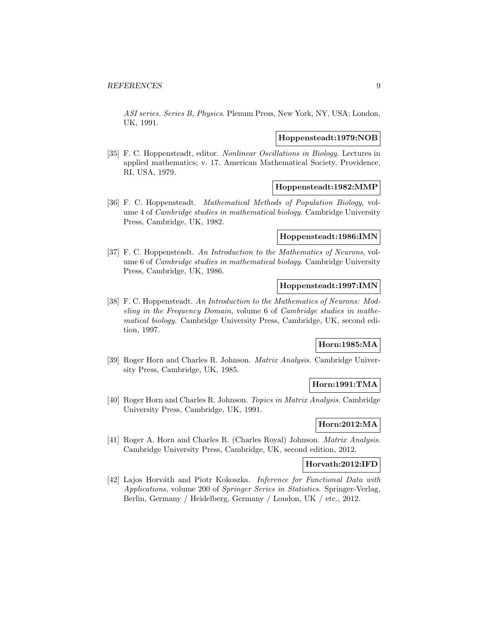ASI series. Series B, Physics. Plenum Press, New York, NY, USA; London, UK, 1991.

## **Hoppensteadt:1979:NOB**

[35] F. C. Hoppensteadt, editor. Nonlinear Oscillations in Biology. Lectures in applied mathematics; v. 17. American Mathematical Society, Providence, RI, USA, 1979.

### **Hoppensteadt:1982:MMP**

[36] F. C. Hoppensteadt. Mathematical Methods of Population Biology, volume 4 of Cambridge studies in mathematical biology. Cambridge University Press, Cambridge, UK, 1982.

# **Hoppensteadt:1986:IMN**

[37] F. C. Hoppensteadt. An Introduction to the Mathematics of Neurons, volume 6 of Cambridge studies in mathematical biology. Cambridge University Press, Cambridge, UK, 1986.

#### **Hoppensteadt:1997:IMN**

[38] F. C. Hoppensteadt. An Introduction to the Mathematics of Neurons: Modeling in the Frequency Domain, volume 6 of Cambridge studies in mathematical biology. Cambridge University Press, Cambridge, UK, second edition, 1997.

# **Horn:1985:MA**

[39] Roger Horn and Charles R. Johnson. Matrix Analysis. Cambridge University Press, Cambridge, UK, 1985.

# **Horn:1991:TMA**

[40] Roger Horn and Charles R. Johnson. Topics in Matrix Analysis. Cambridge University Press, Cambridge, UK, 1991.

# **Horn:2012:MA**

[41] Roger A. Horn and Charles R. (Charles Royal) Johnson. Matrix Analysis. Cambridge University Press, Cambridge, UK, second edition, 2012.

#### **Horvath:2012:IFD**

[42] Lajos Horváth and Piotr Kokoszka. Inference for Functional Data with Applications, volume 200 of Springer Series in Statistics. Springer-Verlag, Berlin, Germany / Heidelberg, Germany / London, UK / etc., 2012.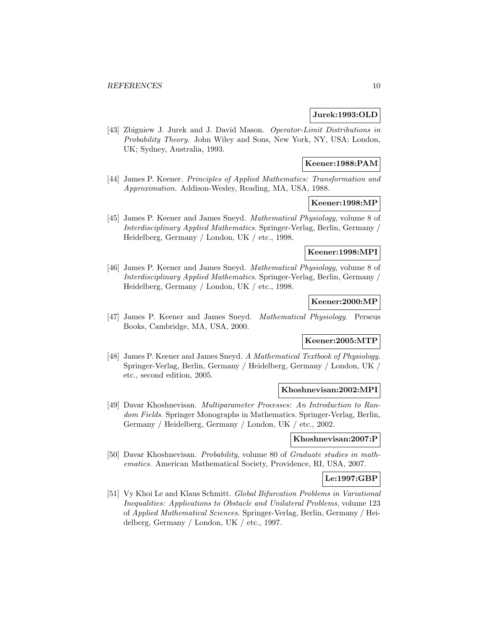### **Jurek:1993:OLD**

[43] Zbigniew J. Jurek and J. David Mason. Operator-Limit Distributions in Probability Theory. John Wiley and Sons, New York, NY, USA; London, UK; Sydney, Australia, 1993.

#### **Keener:1988:PAM**

[44] James P. Keener. Principles of Applied Mathematics: Transformation and Approximation. Addison-Wesley, Reading, MA, USA, 1988.

# **Keener:1998:MP**

[45] James P. Keener and James Sneyd. Mathematical Physiology, volume 8 of Interdisciplinary Applied Mathematics. Springer-Verlag, Berlin, Germany / Heidelberg, Germany / London, UK / etc., 1998.

# **Keener:1998:MPI**

[46] James P. Keener and James Sneyd. Mathematical Physiology, volume 8 of Interdisciplinary Applied Mathematics. Springer-Verlag, Berlin, Germany / Heidelberg, Germany / London, UK / etc., 1998.

#### **Keener:2000:MP**

[47] James P. Keener and James Sneyd. Mathematical Physiology. Perseus Books, Cambridge, MA, USA, 2000.

# **Keener:2005:MTP**

[48] James P. Keener and James Sneyd. A Mathematical Textbook of Physiology. Springer-Verlag, Berlin, Germany / Heidelberg, Germany / London, UK / etc., second edition, 2005.

#### **Khoshnevisan:2002:MPI**

[49] Davar Khoshnevisan. Multiparameter Processes: An Introduction to Random Fields. Springer Monographs in Mathematics. Springer-Verlag, Berlin, Germany / Heidelberg, Germany / London, UK / etc., 2002.

# **Khoshnevisan:2007:P**

[50] Davar Khoshnevisan. Probability, volume 80 of Graduate studies in mathematics. American Mathematical Society, Providence, RI, USA, 2007.

#### **Le:1997:GBP**

[51] Vy Khoi Le and Klaus Schmitt. Global Bifurcation Problems in Variational Inequalities: Applications to Obstacle and Unilateral Problems, volume 123 of Applied Mathematical Sciences. Springer-Verlag, Berlin, Germany / Heidelberg, Germany / London, UK / etc., 1997.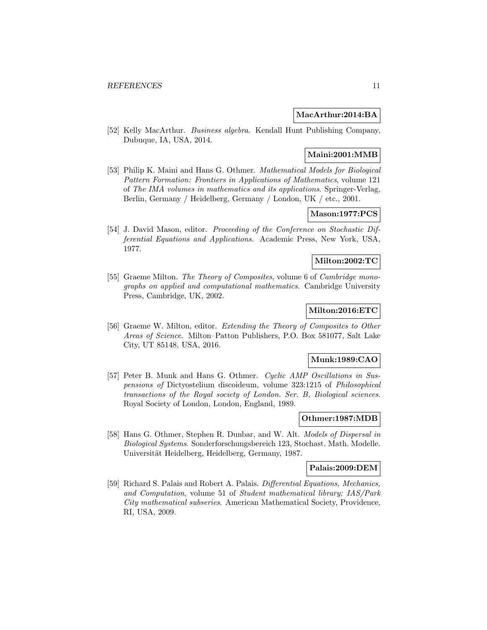#### **MacArthur:2014:BA**

[52] Kelly MacArthur. Business algebra. Kendall Hunt Publishing Company, Dubuque, IA, USA, 2014.

#### **Maini:2001:MMB**

[53] Philip K. Maini and Hans G. Othmer. Mathematical Models for Biological Pattern Formation: Frontiers in Applications of Mathematics, volume 121 of The IMA volumes in mathematics and its applications. Springer-Verlag, Berlin, Germany / Heidelberg, Germany / London, UK / etc., 2001.

# **Mason:1977:PCS**

[54] J. David Mason, editor. Proceeding of the Conference on Stochastic Differential Equations and Applications. Academic Press, New York, USA, 1977.

# **Milton:2002:TC**

[55] Graeme Milton. The Theory of Composites, volume 6 of Cambridge monographs on applied and computational mathematics. Cambridge University Press, Cambridge, UK, 2002.

# **Milton:2016:ETC**

[56] Graeme W. Milton, editor. Extending the Theory of Composites to Other Areas of Science. Milton–Patton Publishers, P.O. Box 581077, Salt Lake City, UT 85148, USA, 2016.

# **Munk:1989:CAO**

[57] Peter B. Munk and Hans G. Othmer. Cyclic AMP Oscillations in Suspensions of Dictyostelium discoideum, volume 323:1215 of Philosophical transactions of the Royal society of London. Ser. B, Biological sciences. Royal Society of London, London, England, 1989.

# **Othmer:1987:MDB**

[58] Hans G. Othmer, Stephen R. Dunbar, and W. Alt. Models of Dispersal in Biological Systems. Sonderforschungsbereich 123, Stochast. Math. Modelle. Universität Heidelberg, Heidelberg, Germany, 1987.

#### **Palais:2009:DEM**

[59] Richard S. Palais and Robert A. Palais. Differential Equations, Mechanics, and Computation, volume 51 of Student mathematical library; IAS/Park City mathematical subseries. American Mathematical Society, Providence, RI, USA, 2009.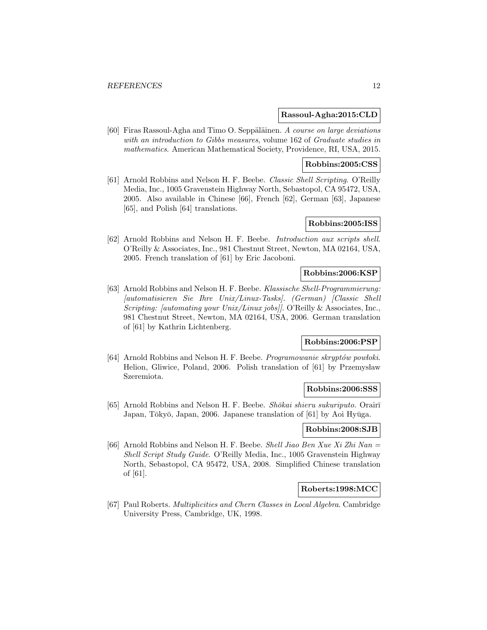#### **Rassoul-Agha:2015:CLD**

[60] Firas Rassoul-Agha and Timo O. Seppäläinen. A course on large deviations with an introduction to Gibbs measures, volume 162 of Graduate studies in mathematics. American Mathematical Society, Providence, RI, USA, 2015.

#### **Robbins:2005:CSS**

[61] Arnold Robbins and Nelson H. F. Beebe. Classic Shell Scripting. O'Reilly Media, Inc., 1005 Gravenstein Highway North, Sebastopol, CA 95472, USA, 2005. Also available in Chinese [66], French [62], German [63], Japanese [65], and Polish [64] translations.

# **Robbins:2005:ISS**

[62] Arnold Robbins and Nelson H. F. Beebe. Introduction aux scripts shell. O'Reilly & Associates, Inc., 981 Chestnut Street, Newton, MA 02164, USA, 2005. French translation of [61] by Eric Jacoboni.

#### **Robbins:2006:KSP**

[63] Arnold Robbins and Nelson H. F. Beebe. Klassische Shell-Programmierung: [automatisieren Sie Ihre Unix/Linux-Tasks]. (German) [Classic Shell Scripting: [automating your Unix/Linux jobs]]. O'Reilly & Associates, Inc., 981 Chestnut Street, Newton, MA 02164, USA, 2006. German translation of [61] by Kathrin Lichtenberg.

# **Robbins:2006:PSP**

[64] Arnold Robbins and Nelson H. F. Beebe. Programowanie skryptów powłoki. Helion, Gliwice, Poland, 2006. Polish translation of [61] by Przemysław Szeremiota.

#### **Robbins:2006:SSS**

[65] Arnold Robbins and Nelson H. F. Beebe. *Shōkai shieru sukuriputo*. Orair $\bar{\text{i}}$ Japan, Tōkyō, Japan, 2006. Japanese translation of [61] by Aoi Hyūga.

#### **Robbins:2008:SJB**

[66] Arnold Robbins and Nelson H. F. Beebe. Shell Jiao Ben Xue Xi Zhi Nan  $=$ Shell Script Study Guide. O'Reilly Media, Inc., 1005 Gravenstein Highway North, Sebastopol, CA 95472, USA, 2008. Simplified Chinese translation of [61].

#### **Roberts:1998:MCC**

[67] Paul Roberts. Multiplicities and Chern Classes in Local Algebra. Cambridge University Press, Cambridge, UK, 1998.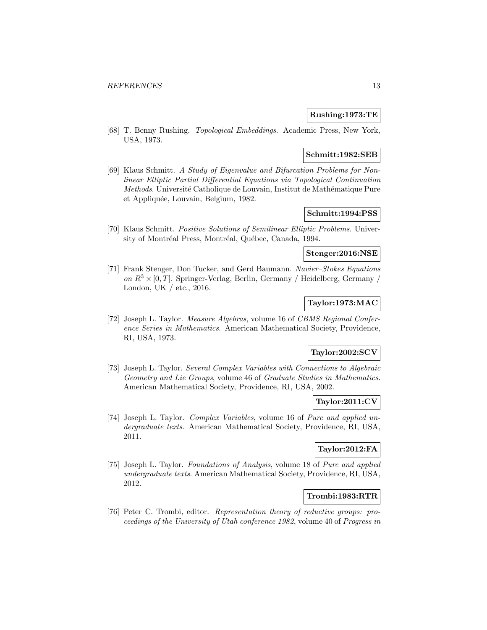# **Rushing:1973:TE**

[68] T. Benny Rushing. Topological Embeddings. Academic Press, New York, USA, 1973.

# **Schmitt:1982:SEB**

[69] Klaus Schmitt. A Study of Eigenvalue and Bifurcation Problems for Nonlinear Elliptic Partial Differential Equations via Topological Continuation Methods. Université Catholique de Louvain, Institut de Mathématique Pure et Appliquée, Louvain, Belgium, 1982.

# **Schmitt:1994:PSS**

[70] Klaus Schmitt. Positive Solutions of Semilinear Elliptic Problems. University of Montréal Press, Montréal, Québec, Canada, 1994.

# **Stenger:2016:NSE**

[71] Frank Stenger, Don Tucker, and Gerd Baumann. Navier–Stokes Equations on  $R^3 \times [0, T]$ . Springer-Verlag, Berlin, Germany / Heidelberg, Germany / London, UK / etc., 2016.

# **Taylor:1973:MAC**

[72] Joseph L. Taylor. Measure Algebras, volume 16 of CBMS Regional Conference Series in Mathematics. American Mathematical Society, Providence, RI, USA, 1973.

# **Taylor:2002:SCV**

[73] Joseph L. Taylor. Several Complex Variables with Connections to Algebraic Geometry and Lie Groups, volume 46 of Graduate Studies in Mathematics. American Mathematical Society, Providence, RI, USA, 2002.

# **Taylor:2011:CV**

[74] Joseph L. Taylor. Complex Variables, volume 16 of Pure and applied undergraduate texts. American Mathematical Society, Providence, RI, USA, 2011.

# **Taylor:2012:FA**

[75] Joseph L. Taylor. Foundations of Analysis, volume 18 of Pure and applied undergraduate texts. American Mathematical Society, Providence, RI, USA, 2012.

#### **Trombi:1983:RTR**

[76] Peter C. Trombi, editor. Representation theory of reductive groups: proceedings of the University of Utah conference 1982, volume 40 of Progress in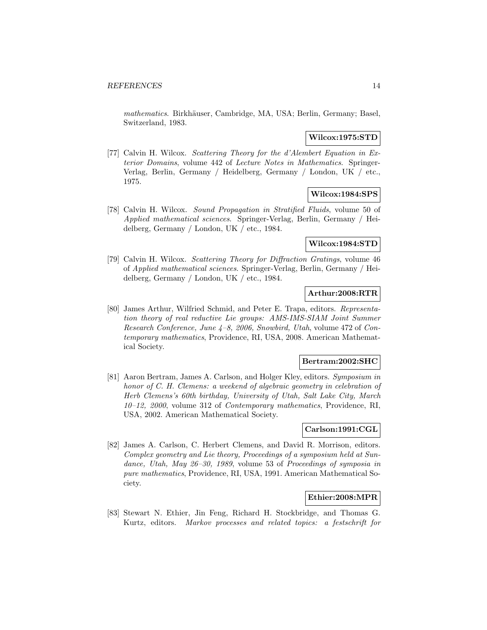mathematics. Birkhäuser, Cambridge, MA, USA; Berlin, Germany; Basel, Switzerland, 1983.

#### **Wilcox:1975:STD**

[77] Calvin H. Wilcox. Scattering Theory for the d'Alembert Equation in Exterior Domains, volume 442 of Lecture Notes in Mathematics. Springer-Verlag, Berlin, Germany / Heidelberg, Germany / London, UK / etc., 1975.

# **Wilcox:1984:SPS**

[78] Calvin H. Wilcox. Sound Propagation in Stratified Fluids, volume 50 of Applied mathematical sciences. Springer-Verlag, Berlin, Germany / Heidelberg, Germany / London, UK / etc., 1984.

### **Wilcox:1984:STD**

[79] Calvin H. Wilcox. Scattering Theory for Diffraction Gratings, volume 46 of Applied mathematical sciences. Springer-Verlag, Berlin, Germany / Heidelberg, Germany / London, UK / etc., 1984.

### **Arthur:2008:RTR**

[80] James Arthur, Wilfried Schmid, and Peter E. Trapa, editors. Representation theory of real reductive Lie groups: AMS-IMS-SIAM Joint Summer Research Conference, June 4–8, 2006, Snowbird, Utah, volume 472 of Contemporary mathematics, Providence, RI, USA, 2008. American Mathematical Society.

#### **Bertram:2002:SHC**

[81] Aaron Bertram, James A. Carlson, and Holger Kley, editors. Symposium in honor of C. H. Clemens: a weekend of algebraic geometry in celebration of Herb Clemens's 60th birthday, University of Utah, Salt Lake City, March 10–12, 2000, volume 312 of Contemporary mathematics, Providence, RI, USA, 2002. American Mathematical Society.

# **Carlson:1991:CGL**

[82] James A. Carlson, C. Herbert Clemens, and David R. Morrison, editors. Complex geometry and Lie theory, Proceedings of a symposium held at Sundance, Utah, May 26–30, 1989, volume 53 of Proceedings of symposia in pure mathematics, Providence, RI, USA, 1991. American Mathematical Society.

#### **Ethier:2008:MPR**

[83] Stewart N. Ethier, Jin Feng, Richard H. Stockbridge, and Thomas G. Kurtz, editors. Markov processes and related topics: a festschrift for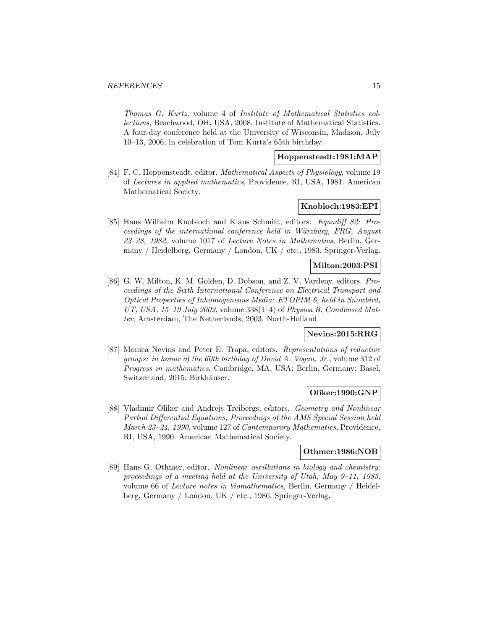Thomas G. Kurtz, volume 4 of Institute of Mathematical Statistics collections, Beachwood, OH, USA, 2008. Institute of Mathematical Statistics. A four-day conference held at the University of Wisconsin, Madison, July 10–13, 2006, in celebration of Tom Kurtz's 65th birthday.

# **Hoppensteadt:1981:MAP**

[84] F. C. Hoppensteadt, editor. Mathematical Aspects of Physiology, volume 19 of Lectures in applied mathematics, Providence, RI, USA, 1981. American Mathematical Society.

#### **Knobloch:1983:EPI**

[85] Hans Wilhelm Knobloch and Klaus Schmitt, editors. Equadiff 82: Proceedings of the international conference held in Würzburg, FRG, August 23–28, 1982, volume 1017 of Lecture Notes in Mathematics, Berlin, Germany / Heidelberg, Germany / London, UK / etc., 1983. Springer-Verlag.

# **Milton:2003:PSI**

[86] G. W. Milton, K. M. Golden, D. Dobson, and Z. V. Vardeny, editors. Proceedings of the Sixth International Conference on Electrical Transport and Optical Properties of Inhomogeneous Media: ETOPIM 6, held in Snowbird, UT, USA,  $15-19$  July 2002, volume  $338(1-4)$  of Physica B, Condensed Matter, Amsterdam, The Netherlands, 2003. North-Holland.

#### **Nevins:2015:RRG**

[87] Monica Nevins and Peter E. Trapa, editors. Representations of reductive groups: in honor of the 60th birthday of David A. Vogan, Jr., volume 312 of Progress in mathematics, Cambridge, MA, USA; Berlin, Germany; Basel, Switzerland, 2015. Birkhäuser.

# **Oliker:1990:GNP**

[88] Vladimir Oliker and Andrejs Treibergs, editors. Geometry and Nonlinear Partial Differential Equations, Proceedings of the AMS Special Session held March 23–24, 1990, volume 127 of Contemporary Mathematics, Providence, RI, USA, 1990. American Mathematical Society.

#### **Othmer:1986:NOB**

[89] Hans G. Othmer, editor. Nonlinear oscillations in biology and chemistry: proceedings of a meeting held at the University of Utah, May 9–11, 1985, volume 66 of Lecture notes in biomathematics, Berlin, Germany / Heidelberg, Germany / London, UK / etc., 1986. Springer-Verlag.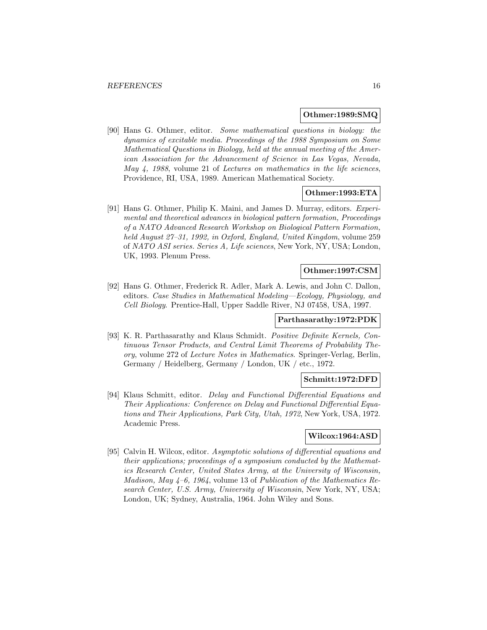#### **Othmer:1989:SMQ**

[90] Hans G. Othmer, editor. Some mathematical questions in biology: the dynamics of excitable media. Proceedings of the 1988 Symposium on Some Mathematical Questions in Biology, held at the annual meeting of the American Association for the Advancement of Science in Las Vegas, Nevada, May 4, 1988, volume 21 of Lectures on mathematics in the life sciences, Providence, RI, USA, 1989. American Mathematical Society.

#### **Othmer:1993:ETA**

[91] Hans G. Othmer, Philip K. Maini, and James D. Murray, editors. Experimental and theoretical advances in biological pattern formation, Proceedings of a NATO Advanced Research Workshop on Biological Pattern Formation, held August 27–31, 1992, in Oxford, England, United Kingdom, volume 259 of NATO ASI series. Series A, Life sciences, New York, NY, USA; London, UK, 1993. Plenum Press.

#### **Othmer:1997:CSM**

[92] Hans G. Othmer, Frederick R. Adler, Mark A. Lewis, and John C. Dallon, editors. Case Studies in Mathematical Modeling—Ecology, Physiology, and Cell Biology. Prentice-Hall, Upper Saddle River, NJ 07458, USA, 1997.

# **Parthasarathy:1972:PDK**

[93] K. R. Parthasarathy and Klaus Schmidt. Positive Definite Kernels, Continuous Tensor Products, and Central Limit Theorems of Probability Theory, volume 272 of Lecture Notes in Mathematics. Springer-Verlag, Berlin, Germany / Heidelberg, Germany / London, UK / etc., 1972.

#### **Schmitt:1972:DFD**

[94] Klaus Schmitt, editor. Delay and Functional Differential Equations and Their Applications: Conference on Delay and Functional Differential Equations and Their Applications, Park City, Utah, 1972, New York, USA, 1972. Academic Press.

#### **Wilcox:1964:ASD**

[95] Calvin H. Wilcox, editor. Asymptotic solutions of differential equations and their applications; proceedings of a symposium conducted by the Mathematics Research Center, United States Army, at the University of Wisconsin, Madison, May  $4-6$ , 1964, volume 13 of Publication of the Mathematics Research Center, U.S. Army, University of Wisconsin, New York, NY, USA; London, UK; Sydney, Australia, 1964. John Wiley and Sons.